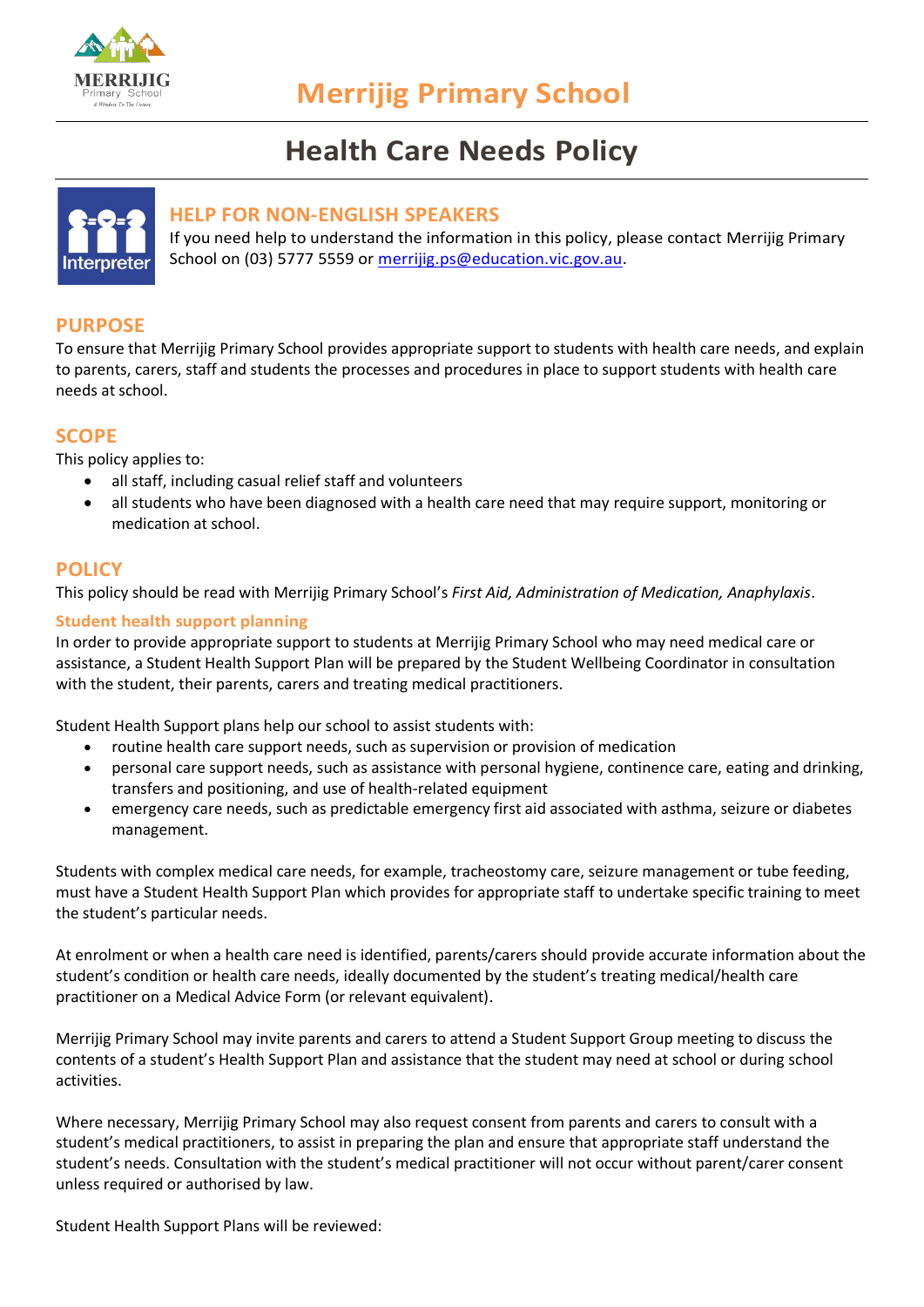

# **Health Care Needs Policy**



# **HELP FOR NON-ENGLISH SPEAKERS**

If you need help to understand the information in this policy, please contact Merrijig Primary School on (03) 5777 5559 or [merrijig.ps@education.vic.gov.au.](mailto:merrijig.ps@education.vic.gov.au)

# **PURPOSE**

To ensure that Merrijig Primary School provides appropriate support to students with health care needs, and explain to parents, carers, staff and students the processes and procedures in place to support students with health care needs at school.

# **SCOPE**

This policy applies to:

- all staff, including casual relief staff and volunteers
- all students who have been diagnosed with a health care need that may require support, monitoring or medication at school.

## **POLICY**

This policy should be read with Merrijig Primary School's *First Aid, Administration of Medication, Anaphylaxis*.

#### **Student health support planning**

In order to provide appropriate support to students at Merrijig Primary School who may need medical care or assistance, a Student Health Support Plan will be prepared by the Student Wellbeing Coordinator in consultation with the student, their parents, carers and treating medical practitioners.

Student Health Support plans help our school to assist students with:

- routine health care support needs, such as supervision or provision of medication
- personal care support needs, such as assistance with personal hygiene, continence care, eating and drinking, transfers and positioning, and use of health-related equipment
- emergency care needs, such as predictable emergency first aid associated with asthma, seizure or diabetes management.

Students with complex medical care needs, for example, tracheostomy care, seizure management or tube feeding, must have a Student Health Support Plan which provides for appropriate staff to undertake specific training to meet the student's particular needs.

At enrolment or when a health care need is identified, parents/carers should provide accurate information about the student's condition or health care needs, ideally documented by the student's treating medical/health care practitioner on a Medical Advice Form (or relevant equivalent).

Merrijig Primary School may invite parents and carers to attend a Student Support Group meeting to discuss the contents of a student's Health Support Plan and assistance that the student may need at school or during school activities.

Where necessary, Merrijig Primary School may also request consent from parents and carers to consult with a student's medical practitioners, to assist in preparing the plan and ensure that appropriate staff understand the student's needs. Consultation with the student's medical practitioner will not occur without parent/carer consent unless required or authorised by law.

Student Health Support Plans will be reviewed: